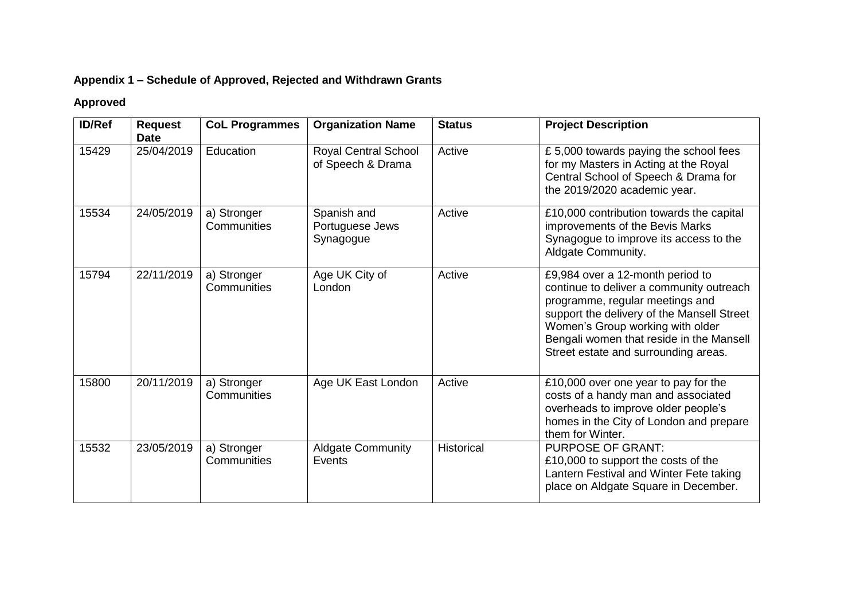## **Appendix 1 – Schedule of Approved, Rejected and Withdrawn Grants**

## **Approved**

| <b>ID/Ref</b> | <b>Request</b><br><b>Date</b> | <b>CoL Programmes</b>      | <b>Organization Name</b>                         | <b>Status</b>     | <b>Project Description</b>                                                                                                                                                                                                                                                            |
|---------------|-------------------------------|----------------------------|--------------------------------------------------|-------------------|---------------------------------------------------------------------------------------------------------------------------------------------------------------------------------------------------------------------------------------------------------------------------------------|
| 15429         | 25/04/2019                    | Education                  | <b>Royal Central School</b><br>of Speech & Drama | Active            | £5,000 towards paying the school fees<br>for my Masters in Acting at the Royal<br>Central School of Speech & Drama for<br>the 2019/2020 academic year.                                                                                                                                |
| 15534         | 24/05/2019                    | a) Stronger<br>Communities | Spanish and<br>Portuguese Jews<br>Synagogue      | Active            | £10,000 contribution towards the capital<br>improvements of the Bevis Marks<br>Synagogue to improve its access to the<br>Aldgate Community.                                                                                                                                           |
| 15794         | 22/11/2019                    | a) Stronger<br>Communities | Age UK City of<br>London                         | Active            | £9,984 over a 12-month period to<br>continue to deliver a community outreach<br>programme, regular meetings and<br>support the delivery of the Mansell Street<br>Women's Group working with older<br>Bengali women that reside in the Mansell<br>Street estate and surrounding areas. |
| 15800         | 20/11/2019                    | a) Stronger<br>Communities | Age UK East London                               | Active            | £10,000 over one year to pay for the<br>costs of a handy man and associated<br>overheads to improve older people's<br>homes in the City of London and prepare<br>them for Winter.                                                                                                     |
| 15532         | 23/05/2019                    | a) Stronger<br>Communities | <b>Aldgate Community</b><br>Events               | <b>Historical</b> | <b>PURPOSE OF GRANT:</b><br>£10,000 to support the costs of the<br>Lantern Festival and Winter Fete taking<br>place on Aldgate Square in December.                                                                                                                                    |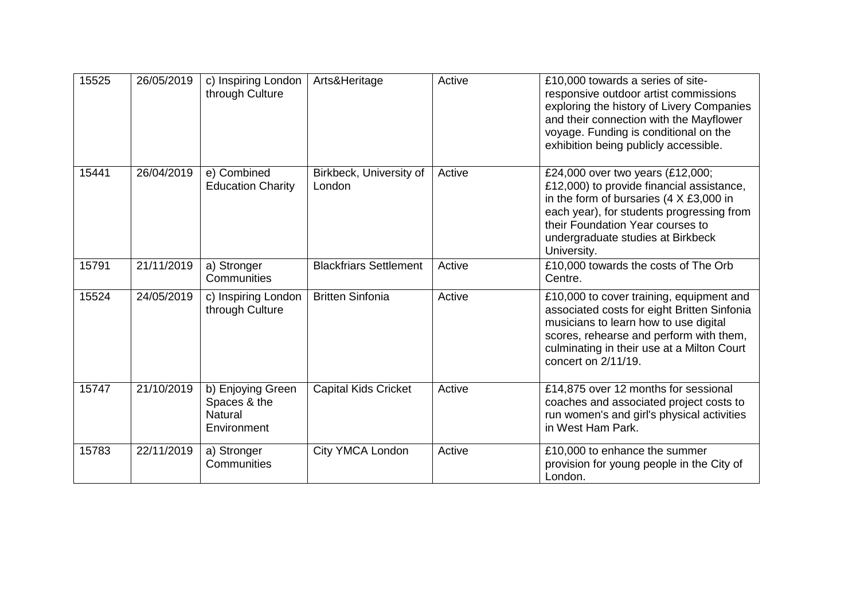| 15525 | 26/05/2019 | c) Inspiring London<br>through Culture                             | Arts&Heritage                     | Active | £10,000 towards a series of site-<br>responsive outdoor artist commissions<br>exploring the history of Livery Companies<br>and their connection with the Mayflower<br>voyage. Funding is conditional on the<br>exhibition being publicly accessible.                 |
|-------|------------|--------------------------------------------------------------------|-----------------------------------|--------|----------------------------------------------------------------------------------------------------------------------------------------------------------------------------------------------------------------------------------------------------------------------|
| 15441 | 26/04/2019 | e) Combined<br><b>Education Charity</b>                            | Birkbeck, University of<br>London | Active | £24,000 over two years (£12,000;<br>£12,000) to provide financial assistance,<br>in the form of bursaries $(4 \times £3,000$ in<br>each year), for students progressing from<br>their Foundation Year courses to<br>undergraduate studies at Birkbeck<br>University. |
| 15791 | 21/11/2019 | a) Stronger<br>Communities                                         | <b>Blackfriars Settlement</b>     | Active | £10,000 towards the costs of The Orb<br>Centre.                                                                                                                                                                                                                      |
| 15524 | 24/05/2019 | c) Inspiring London<br>through Culture                             | <b>Britten Sinfonia</b>           | Active | £10,000 to cover training, equipment and<br>associated costs for eight Britten Sinfonia<br>musicians to learn how to use digital<br>scores, rehearse and perform with them,<br>culminating in their use at a Milton Court<br>concert on 2/11/19.                     |
| 15747 | 21/10/2019 | b) Enjoying Green<br>Spaces & the<br><b>Natural</b><br>Environment | <b>Capital Kids Cricket</b>       | Active | £14,875 over 12 months for sessional<br>coaches and associated project costs to<br>run women's and girl's physical activities<br>in West Ham Park.                                                                                                                   |
| 15783 | 22/11/2019 | a) Stronger<br>Communities                                         | City YMCA London                  | Active | £10,000 to enhance the summer<br>provision for young people in the City of<br>London.                                                                                                                                                                                |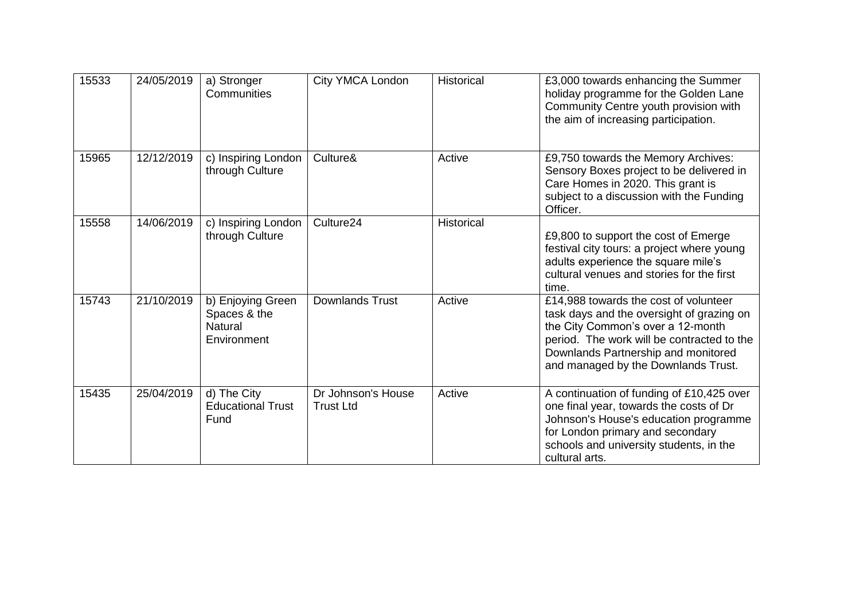| 15533 | 24/05/2019 | a) Stronger<br>Communities                                  | City YMCA London                       | <b>Historical</b> | £3,000 towards enhancing the Summer<br>holiday programme for the Golden Lane<br>Community Centre youth provision with<br>the aim of increasing participation.                                                                                       |
|-------|------------|-------------------------------------------------------------|----------------------------------------|-------------------|-----------------------------------------------------------------------------------------------------------------------------------------------------------------------------------------------------------------------------------------------------|
| 15965 | 12/12/2019 | c) Inspiring London<br>through Culture                      | Culture&                               | Active            | £9,750 towards the Memory Archives:<br>Sensory Boxes project to be delivered in<br>Care Homes in 2020. This grant is<br>subject to a discussion with the Funding<br>Officer.                                                                        |
| 15558 | 14/06/2019 | c) Inspiring London<br>through Culture                      | Culture24                              | Historical        | £9,800 to support the cost of Emerge<br>festival city tours: a project where young<br>adults experience the square mile's<br>cultural venues and stories for the first<br>time.                                                                     |
| 15743 | 21/10/2019 | b) Enjoying Green<br>Spaces & the<br>Natural<br>Environment | <b>Downlands Trust</b>                 | Active            | £14,988 towards the cost of volunteer<br>task days and the oversight of grazing on<br>the City Common's over a 12-month<br>period. The work will be contracted to the<br>Downlands Partnership and monitored<br>and managed by the Downlands Trust. |
| 15435 | 25/04/2019 | d) The City<br><b>Educational Trust</b><br>Fund             | Dr Johnson's House<br><b>Trust Ltd</b> | Active            | A continuation of funding of £10,425 over<br>one final year, towards the costs of Dr<br>Johnson's House's education programme<br>for London primary and secondary<br>schools and university students, in the<br>cultural arts.                      |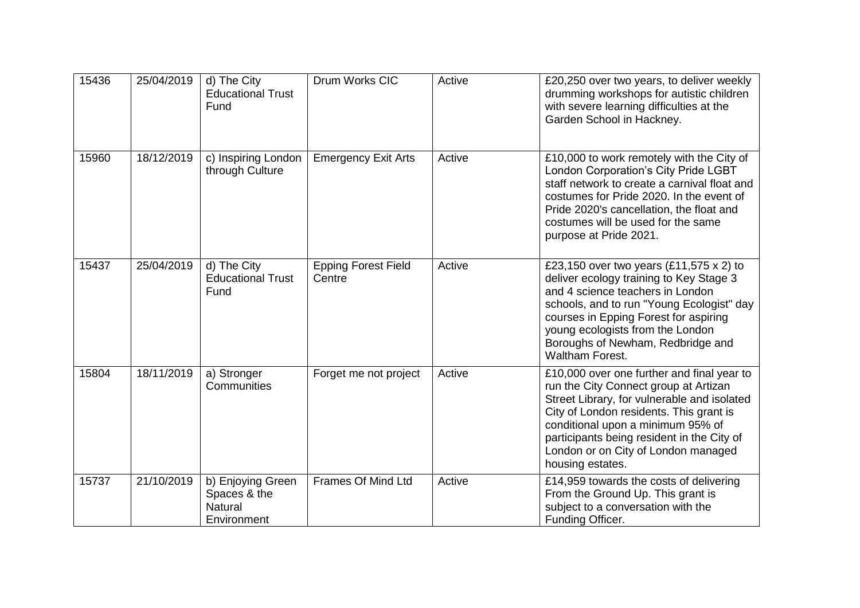| 15436 | 25/04/2019 | d) The City<br><b>Educational Trust</b><br>Fund             | Drum Works CIC                       | Active | £20,250 over two years, to deliver weekly<br>drumming workshops for autistic children<br>with severe learning difficulties at the<br>Garden School in Hackney.                                                                                                                                                              |
|-------|------------|-------------------------------------------------------------|--------------------------------------|--------|-----------------------------------------------------------------------------------------------------------------------------------------------------------------------------------------------------------------------------------------------------------------------------------------------------------------------------|
| 15960 | 18/12/2019 | c) Inspiring London<br>through Culture                      | <b>Emergency Exit Arts</b>           | Active | £10,000 to work remotely with the City of<br>London Corporation's City Pride LGBT<br>staff network to create a carnival float and<br>costumes for Pride 2020. In the event of<br>Pride 2020's cancellation, the float and<br>costumes will be used for the same<br>purpose at Pride 2021.                                   |
| 15437 | 25/04/2019 | d) The City<br><b>Educational Trust</b><br>Fund             | <b>Epping Forest Field</b><br>Centre | Active | £23,150 over two years (£11,575 x 2) to<br>deliver ecology training to Key Stage 3<br>and 4 science teachers in London<br>schools, and to run "Young Ecologist" day<br>courses in Epping Forest for aspiring<br>young ecologists from the London<br>Boroughs of Newham, Redbridge and<br>Waltham Forest.                    |
| 15804 | 18/11/2019 | a) Stronger<br>Communities                                  | Forget me not project                | Active | £10,000 over one further and final year to<br>run the City Connect group at Artizan<br>Street Library, for vulnerable and isolated<br>City of London residents. This grant is<br>conditional upon a minimum 95% of<br>participants being resident in the City of<br>London or on City of London managed<br>housing estates. |
| 15737 | 21/10/2019 | b) Enjoying Green<br>Spaces & the<br>Natural<br>Environment | Frames Of Mind Ltd                   | Active | £14,959 towards the costs of delivering<br>From the Ground Up. This grant is<br>subject to a conversation with the<br>Funding Officer.                                                                                                                                                                                      |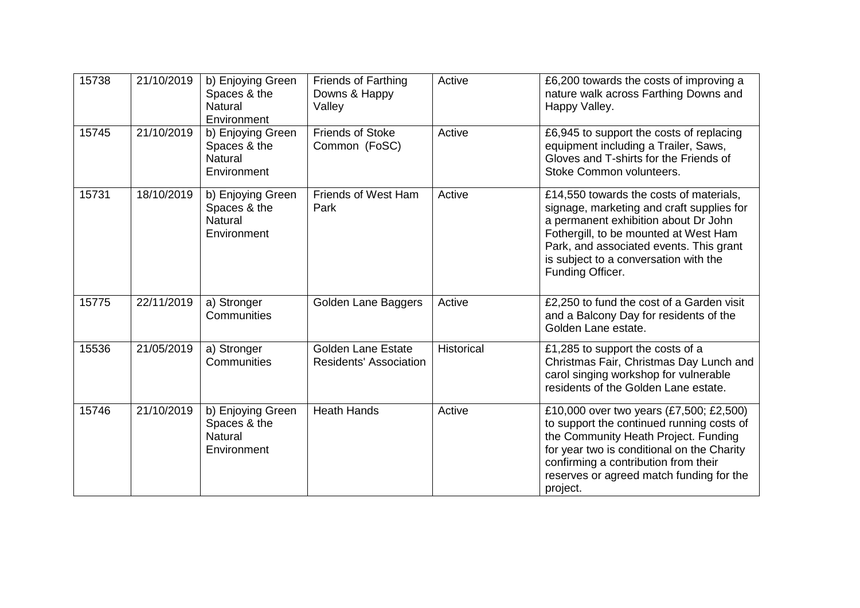| 15738 | 21/10/2019 | b) Enjoying Green<br>Spaces & the<br>Natural<br>Environment        | <b>Friends of Farthing</b><br>Downs & Happy<br>Valley | Active     | £6,200 towards the costs of improving a<br>nature walk across Farthing Downs and<br>Happy Valley.                                                                                                                                                                             |
|-------|------------|--------------------------------------------------------------------|-------------------------------------------------------|------------|-------------------------------------------------------------------------------------------------------------------------------------------------------------------------------------------------------------------------------------------------------------------------------|
| 15745 | 21/10/2019 | b) Enjoying Green<br>Spaces & the<br><b>Natural</b><br>Environment | <b>Friends of Stoke</b><br>Common (FoSC)              | Active     | £6,945 to support the costs of replacing<br>equipment including a Trailer, Saws,<br>Gloves and T-shirts for the Friends of<br>Stoke Common volunteers.                                                                                                                        |
| 15731 | 18/10/2019 | b) Enjoying Green<br>Spaces & the<br><b>Natural</b><br>Environment | Friends of West Ham<br>Park                           | Active     | £14,550 towards the costs of materials,<br>signage, marketing and craft supplies for<br>a permanent exhibition about Dr John<br>Fothergill, to be mounted at West Ham<br>Park, and associated events. This grant<br>is subject to a conversation with the<br>Funding Officer. |
| 15775 | 22/11/2019 | a) Stronger<br>Communities                                         | Golden Lane Baggers                                   | Active     | £2,250 to fund the cost of a Garden visit<br>and a Balcony Day for residents of the<br>Golden Lane estate.                                                                                                                                                                    |
| 15536 | 21/05/2019 | a) Stronger<br>Communities                                         | <b>Golden Lane Estate</b><br>Residents' Association   | Historical | £1,285 to support the costs of a<br>Christmas Fair, Christmas Day Lunch and<br>carol singing workshop for vulnerable<br>residents of the Golden Lane estate.                                                                                                                  |
| 15746 | 21/10/2019 | b) Enjoying Green<br>Spaces & the<br><b>Natural</b><br>Environment | <b>Heath Hands</b>                                    | Active     | £10,000 over two years (£7,500; £2,500)<br>to support the continued running costs of<br>the Community Heath Project. Funding<br>for year two is conditional on the Charity<br>confirming a contribution from their<br>reserves or agreed match funding for the<br>project.    |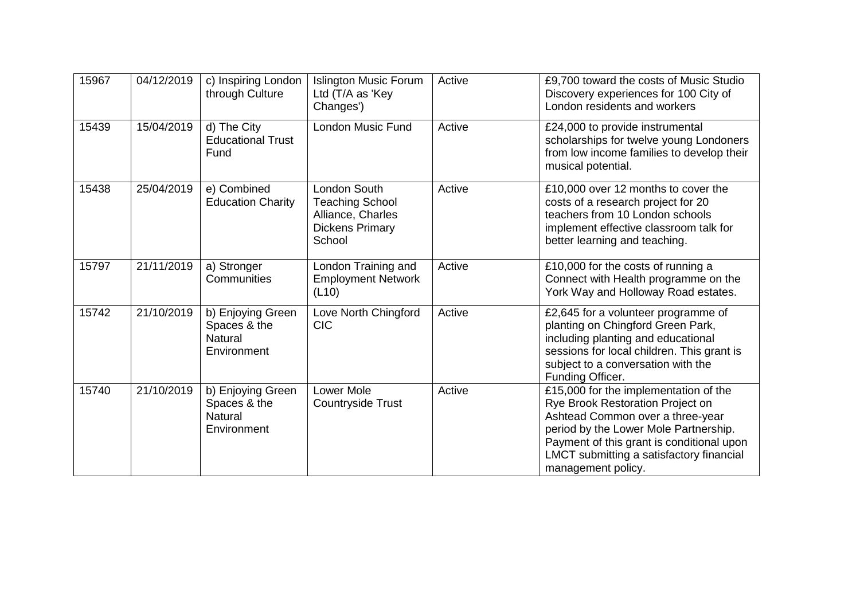| 15967 | 04/12/2019 | c) Inspiring London<br>through Culture                             | <b>Islington Music Forum</b><br>Ltd (T/A as 'Key<br>Changes')                                          | Active | £9,700 toward the costs of Music Studio<br>Discovery experiences for 100 City of<br>London residents and workers                                                                                                                                                      |
|-------|------------|--------------------------------------------------------------------|--------------------------------------------------------------------------------------------------------|--------|-----------------------------------------------------------------------------------------------------------------------------------------------------------------------------------------------------------------------------------------------------------------------|
| 15439 | 15/04/2019 | d) The City<br><b>Educational Trust</b><br>Fund                    | <b>London Music Fund</b>                                                                               | Active | £24,000 to provide instrumental<br>scholarships for twelve young Londoners<br>from low income families to develop their<br>musical potential.                                                                                                                         |
| 15438 | 25/04/2019 | e) Combined<br><b>Education Charity</b>                            | <b>London South</b><br><b>Teaching School</b><br>Alliance, Charles<br><b>Dickens Primary</b><br>School | Active | £10,000 over 12 months to cover the<br>costs of a research project for 20<br>teachers from 10 London schools<br>implement effective classroom talk for<br>better learning and teaching.                                                                               |
| 15797 | 21/11/2019 | a) Stronger<br>Communities                                         | London Training and<br><b>Employment Network</b><br>(L10)                                              | Active | £10,000 for the costs of running a<br>Connect with Health programme on the<br>York Way and Holloway Road estates.                                                                                                                                                     |
| 15742 | 21/10/2019 | b) Enjoying Green<br>Spaces & the<br><b>Natural</b><br>Environment | Love North Chingford<br><b>CIC</b>                                                                     | Active | £2,645 for a volunteer programme of<br>planting on Chingford Green Park,<br>including planting and educational<br>sessions for local children. This grant is<br>subject to a conversation with the<br>Funding Officer.                                                |
| 15740 | 21/10/2019 | b) Enjoying Green<br>Spaces & the<br><b>Natural</b><br>Environment | Lower Mole<br><b>Countryside Trust</b>                                                                 | Active | £15,000 for the implementation of the<br>Rye Brook Restoration Project on<br>Ashtead Common over a three-year<br>period by the Lower Mole Partnership.<br>Payment of this grant is conditional upon<br>LMCT submitting a satisfactory financial<br>management policy. |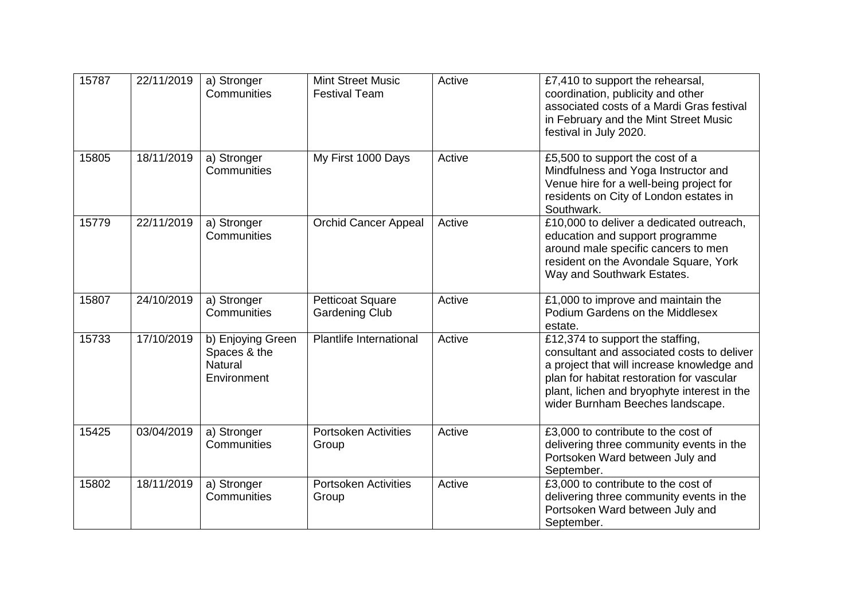| 15787 | 22/11/2019 | a) Stronger<br>Communities                                  | <b>Mint Street Music</b><br><b>Festival Team</b> | Active | £7,410 to support the rehearsal,<br>coordination, publicity and other<br>associated costs of a Mardi Gras festival<br>in February and the Mint Street Music<br>festival in July 2020.                                                                        |
|-------|------------|-------------------------------------------------------------|--------------------------------------------------|--------|--------------------------------------------------------------------------------------------------------------------------------------------------------------------------------------------------------------------------------------------------------------|
| 15805 | 18/11/2019 | a) Stronger<br>Communities                                  | My First 1000 Days                               | Active | £5,500 to support the cost of a<br>Mindfulness and Yoga Instructor and<br>Venue hire for a well-being project for<br>residents on City of London estates in<br>Southwark.                                                                                    |
| 15779 | 22/11/2019 | a) Stronger<br>Communities                                  | <b>Orchid Cancer Appeal</b>                      | Active | £10,000 to deliver a dedicated outreach,<br>education and support programme<br>around male specific cancers to men<br>resident on the Avondale Square, York<br>Way and Southwark Estates.                                                                    |
| 15807 | 24/10/2019 | a) Stronger<br>Communities                                  | <b>Petticoat Square</b><br><b>Gardening Club</b> | Active | £1,000 to improve and maintain the<br>Podium Gardens on the Middlesex<br>estate.                                                                                                                                                                             |
| 15733 | 17/10/2019 | b) Enjoying Green<br>Spaces & the<br>Natural<br>Environment | Plantlife International                          | Active | £12,374 to support the staffing,<br>consultant and associated costs to deliver<br>a project that will increase knowledge and<br>plan for habitat restoration for vascular<br>plant, lichen and bryophyte interest in the<br>wider Burnham Beeches landscape. |
| 15425 | 03/04/2019 | a) Stronger<br>Communities                                  | <b>Portsoken Activities</b><br>Group             | Active | £3,000 to contribute to the cost of<br>delivering three community events in the<br>Portsoken Ward between July and<br>September.                                                                                                                             |
| 15802 | 18/11/2019 | a) Stronger<br>Communities                                  | <b>Portsoken Activities</b><br>Group             | Active | £3,000 to contribute to the cost of<br>delivering three community events in the<br>Portsoken Ward between July and<br>September.                                                                                                                             |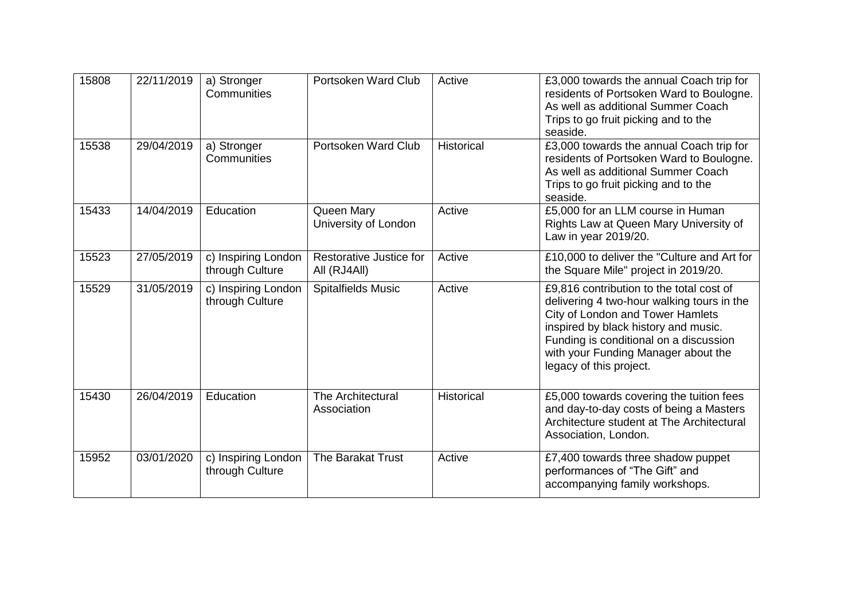| 15808 | 22/11/2019 | a) Stronger<br>Communities             | Portsoken Ward Club                     | Active            | £3,000 towards the annual Coach trip for<br>residents of Portsoken Ward to Boulogne.<br>As well as additional Summer Coach<br>Trips to go fruit picking and to the<br>seaside.                                                                                                 |
|-------|------------|----------------------------------------|-----------------------------------------|-------------------|--------------------------------------------------------------------------------------------------------------------------------------------------------------------------------------------------------------------------------------------------------------------------------|
| 15538 | 29/04/2019 | a) Stronger<br>Communities             | Portsoken Ward Club                     | Historical        | £3,000 towards the annual Coach trip for<br>residents of Portsoken Ward to Boulogne.<br>As well as additional Summer Coach<br>Trips to go fruit picking and to the<br>seaside.                                                                                                 |
| 15433 | 14/04/2019 | Education                              | Queen Mary<br>University of London      | Active            | £5,000 for an LLM course in Human<br>Rights Law at Queen Mary University of<br>Law in year 2019/20.                                                                                                                                                                            |
| 15523 | 27/05/2019 | c) Inspiring London<br>through Culture | Restorative Justice for<br>All (RJ4All) | Active            | £10,000 to deliver the "Culture and Art for<br>the Square Mile" project in 2019/20.                                                                                                                                                                                            |
| 15529 | 31/05/2019 | c) Inspiring London<br>through Culture | <b>Spitalfields Music</b>               | Active            | £9,816 contribution to the total cost of<br>delivering 4 two-hour walking tours in the<br>City of London and Tower Hamlets<br>inspired by black history and music.<br>Funding is conditional on a discussion<br>with your Funding Manager about the<br>legacy of this project. |
| 15430 | 26/04/2019 | Education                              | The Architectural<br>Association        | <b>Historical</b> | £5,000 towards covering the tuition fees<br>and day-to-day costs of being a Masters<br>Architecture student at The Architectural<br>Association, London.                                                                                                                       |
| 15952 | 03/01/2020 | c) Inspiring London<br>through Culture | The Barakat Trust                       | Active            | £7,400 towards three shadow puppet<br>performances of "The Gift" and<br>accompanying family workshops.                                                                                                                                                                         |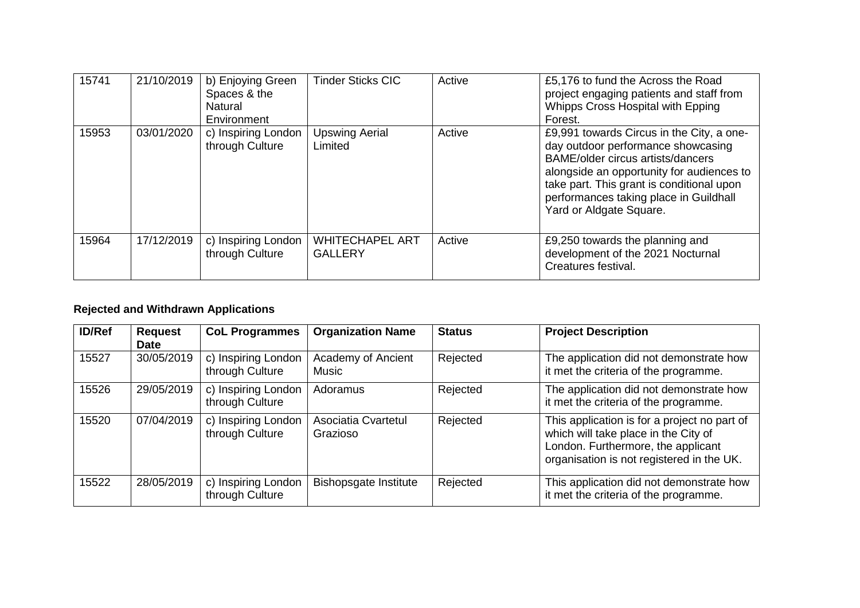| 15741 | 21/10/2019 | b) Enjoying Green<br>Spaces & the<br>Natural<br>Environment | <b>Tinder Sticks CIC</b>                 | Active | £5,176 to fund the Across the Road<br>project engaging patients and staff from<br>Whipps Cross Hospital with Epping<br>Forest.                                                                                                                                                      |
|-------|------------|-------------------------------------------------------------|------------------------------------------|--------|-------------------------------------------------------------------------------------------------------------------------------------------------------------------------------------------------------------------------------------------------------------------------------------|
| 15953 | 03/01/2020 | c) Inspiring London<br>through Culture                      | <b>Upswing Aerial</b><br>Limited         | Active | £9,991 towards Circus in the City, a one-<br>day outdoor performance showcasing<br>BAME/older circus artists/dancers<br>alongside an opportunity for audiences to<br>take part. This grant is conditional upon<br>performances taking place in Guildhall<br>Yard or Aldgate Square. |
| 15964 | 17/12/2019 | c) Inspiring London<br>through Culture                      | <b>WHITECHAPEL ART</b><br><b>GALLERY</b> | Active | £9,250 towards the planning and<br>development of the 2021 Nocturnal<br>Creatures festival.                                                                                                                                                                                         |

## **Rejected and Withdrawn Applications**

| <b>ID/Ref</b> | <b>Request</b><br><b>Date</b> | <b>CoL Programmes</b>                  | <b>Organization Name</b>        | <b>Status</b> | <b>Project Description</b>                                                                                                                                              |
|---------------|-------------------------------|----------------------------------------|---------------------------------|---------------|-------------------------------------------------------------------------------------------------------------------------------------------------------------------------|
| 15527         | 30/05/2019                    | c) Inspiring London<br>through Culture | Academy of Ancient<br>Music     | Rejected      | The application did not demonstrate how<br>it met the criteria of the programme.                                                                                        |
| 15526         | 29/05/2019                    | c) Inspiring London<br>through Culture | Adoramus                        | Rejected      | The application did not demonstrate how<br>it met the criteria of the programme.                                                                                        |
| 15520         | 07/04/2019                    | c) Inspiring London<br>through Culture | Asociatia Cvartetul<br>Grazioso | Rejected      | This application is for a project no part of<br>which will take place in the City of<br>London. Furthermore, the applicant<br>organisation is not registered in the UK. |
| 15522         | 28/05/2019                    | c) Inspiring London<br>through Culture | Bishopsgate Institute           | Rejected      | This application did not demonstrate how<br>it met the criteria of the programme.                                                                                       |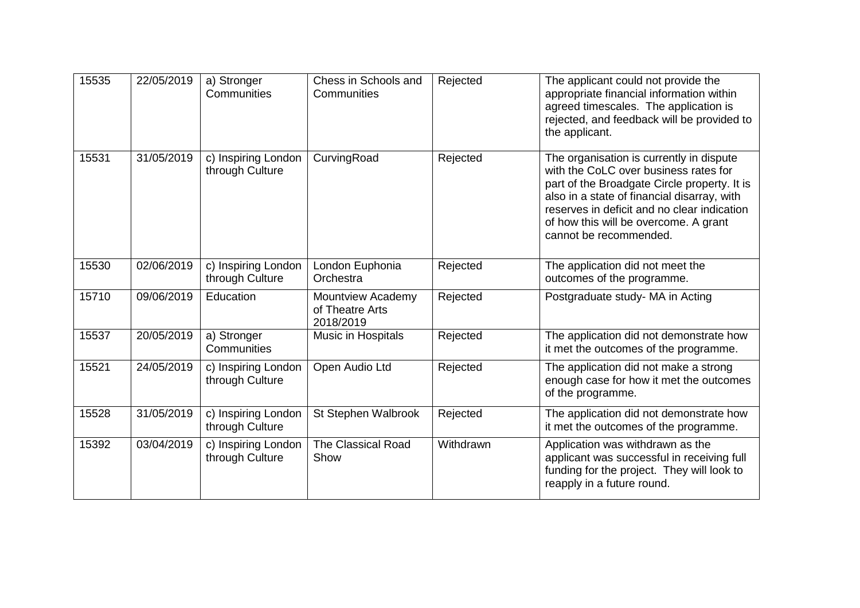| 15535 | 22/05/2019 | a) Stronger<br>Communities             | Chess in Schools and<br>Communities               | Rejected  | The applicant could not provide the<br>appropriate financial information within<br>agreed timescales. The application is<br>rejected, and feedback will be provided to<br>the applicant.                                                                                                           |
|-------|------------|----------------------------------------|---------------------------------------------------|-----------|----------------------------------------------------------------------------------------------------------------------------------------------------------------------------------------------------------------------------------------------------------------------------------------------------|
| 15531 | 31/05/2019 | c) Inspiring London<br>through Culture | CurvingRoad                                       | Rejected  | The organisation is currently in dispute<br>with the CoLC over business rates for<br>part of the Broadgate Circle property. It is<br>also in a state of financial disarray, with<br>reserves in deficit and no clear indication<br>of how this will be overcome. A grant<br>cannot be recommended. |
| 15530 | 02/06/2019 | c) Inspiring London<br>through Culture | London Euphonia<br>Orchestra                      | Rejected  | The application did not meet the<br>outcomes of the programme.                                                                                                                                                                                                                                     |
| 15710 | 09/06/2019 | Education                              | Mountview Academy<br>of Theatre Arts<br>2018/2019 | Rejected  | Postgraduate study- MA in Acting                                                                                                                                                                                                                                                                   |
| 15537 | 20/05/2019 | a) Stronger<br>Communities             | <b>Music in Hospitals</b>                         | Rejected  | The application did not demonstrate how<br>it met the outcomes of the programme.                                                                                                                                                                                                                   |
| 15521 | 24/05/2019 | c) Inspiring London<br>through Culture | Open Audio Ltd                                    | Rejected  | The application did not make a strong<br>enough case for how it met the outcomes<br>of the programme.                                                                                                                                                                                              |
| 15528 | 31/05/2019 | c) Inspiring London<br>through Culture | St Stephen Walbrook                               | Rejected  | The application did not demonstrate how<br>it met the outcomes of the programme.                                                                                                                                                                                                                   |
| 15392 | 03/04/2019 | c) Inspiring London<br>through Culture | <b>The Classical Road</b><br>Show                 | Withdrawn | Application was withdrawn as the<br>applicant was successful in receiving full<br>funding for the project. They will look to<br>reapply in a future round.                                                                                                                                         |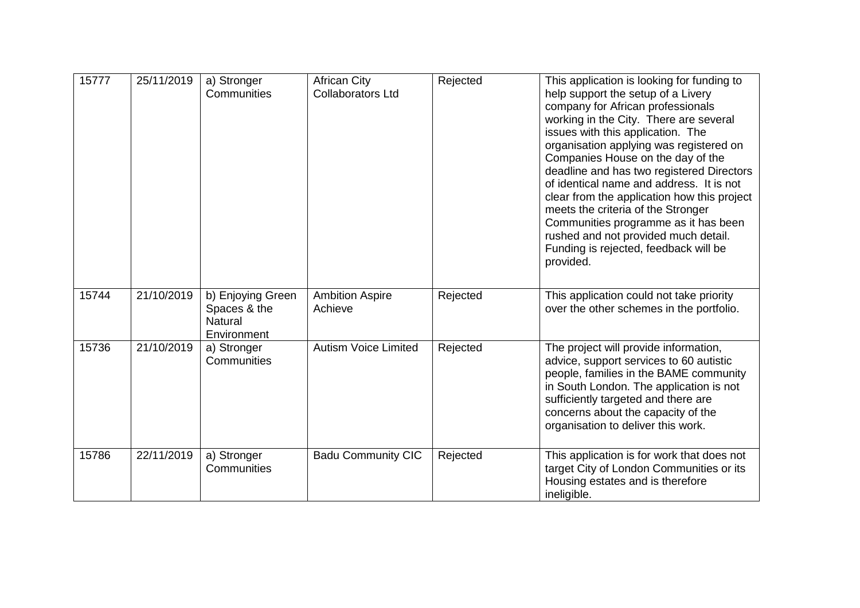| 15777 | 25/11/2019 | a) Stronger<br>Communities                                         | <b>African City</b><br><b>Collaborators Ltd</b> | Rejected | This application is looking for funding to<br>help support the setup of a Livery<br>company for African professionals<br>working in the City. There are several<br>issues with this application. The<br>organisation applying was registered on<br>Companies House on the day of the<br>deadline and has two registered Directors<br>of identical name and address. It is not<br>clear from the application how this project<br>meets the criteria of the Stronger<br>Communities programme as it has been<br>rushed and not provided much detail.<br>Funding is rejected, feedback will be<br>provided. |
|-------|------------|--------------------------------------------------------------------|-------------------------------------------------|----------|----------------------------------------------------------------------------------------------------------------------------------------------------------------------------------------------------------------------------------------------------------------------------------------------------------------------------------------------------------------------------------------------------------------------------------------------------------------------------------------------------------------------------------------------------------------------------------------------------------|
| 15744 | 21/10/2019 | b) Enjoying Green<br>Spaces & the<br><b>Natural</b><br>Environment | <b>Ambition Aspire</b><br>Achieve               | Rejected | This application could not take priority<br>over the other schemes in the portfolio.                                                                                                                                                                                                                                                                                                                                                                                                                                                                                                                     |
| 15736 | 21/10/2019 | a) Stronger<br>Communities                                         | <b>Autism Voice Limited</b>                     | Rejected | The project will provide information,<br>advice, support services to 60 autistic<br>people, families in the BAME community<br>in South London. The application is not<br>sufficiently targeted and there are<br>concerns about the capacity of the<br>organisation to deliver this work.                                                                                                                                                                                                                                                                                                                 |
| 15786 | 22/11/2019 | a) Stronger<br>Communities                                         | <b>Badu Community CIC</b>                       | Rejected | This application is for work that does not<br>target City of London Communities or its<br>Housing estates and is therefore<br>ineligible.                                                                                                                                                                                                                                                                                                                                                                                                                                                                |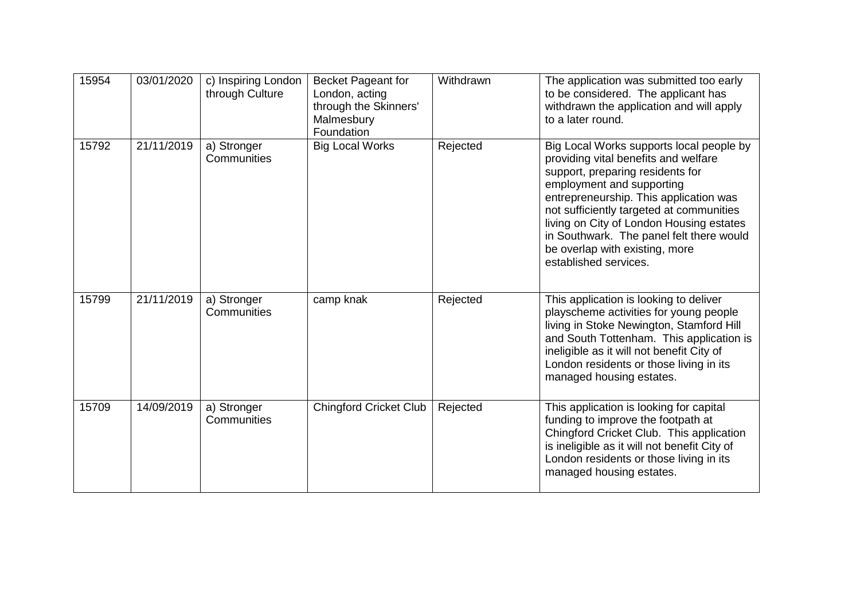| 15954 | 03/01/2020 | c) Inspiring London<br>through Culture | Becket Pageant for<br>London, acting<br>through the Skinners'<br>Malmesbury<br>Foundation | Withdrawn | The application was submitted too early<br>to be considered. The applicant has<br>withdrawn the application and will apply<br>to a later round.                                                                                                                                                                                                                                            |
|-------|------------|----------------------------------------|-------------------------------------------------------------------------------------------|-----------|--------------------------------------------------------------------------------------------------------------------------------------------------------------------------------------------------------------------------------------------------------------------------------------------------------------------------------------------------------------------------------------------|
| 15792 | 21/11/2019 | a) Stronger<br>Communities             | <b>Big Local Works</b>                                                                    | Rejected  | Big Local Works supports local people by<br>providing vital benefits and welfare<br>support, preparing residents for<br>employment and supporting<br>entrepreneurship. This application was<br>not sufficiently targeted at communities<br>living on City of London Housing estates<br>in Southwark. The panel felt there would<br>be overlap with existing, more<br>established services. |
| 15799 | 21/11/2019 | a) Stronger<br>Communities             | camp knak                                                                                 | Rejected  | This application is looking to deliver<br>playscheme activities for young people<br>living in Stoke Newington, Stamford Hill<br>and South Tottenham. This application is<br>ineligible as it will not benefit City of<br>London residents or those living in its<br>managed housing estates.                                                                                               |
| 15709 | 14/09/2019 | a) Stronger<br>Communities             | <b>Chingford Cricket Club</b>                                                             | Rejected  | This application is looking for capital<br>funding to improve the footpath at<br>Chingford Cricket Club. This application<br>is ineligible as it will not benefit City of<br>London residents or those living in its<br>managed housing estates.                                                                                                                                           |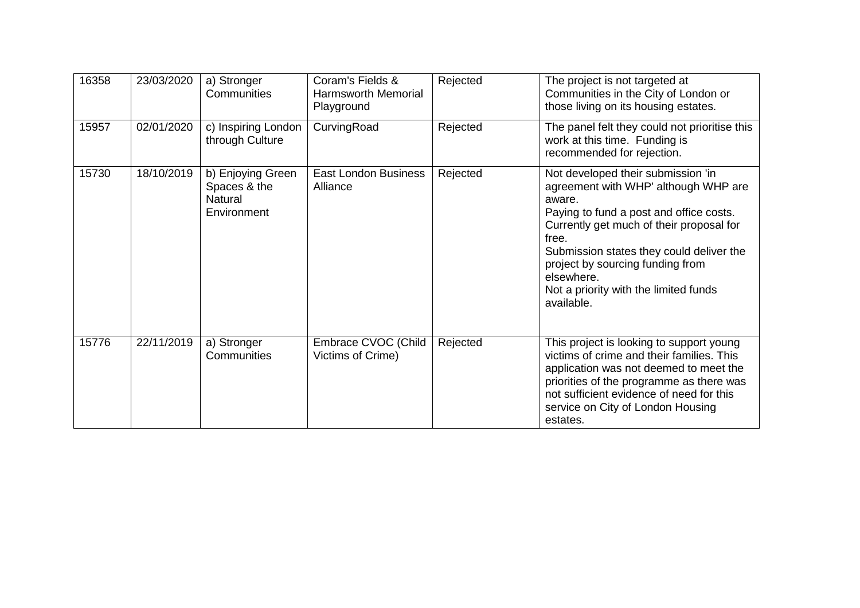| 16358 | 23/03/2020 | a) Stronger<br>Communities                                         | Coram's Fields &<br><b>Harmsworth Memorial</b><br>Playground | Rejected | The project is not targeted at<br>Communities in the City of London or<br>those living on its housing estates.                                                                                                                                                                                                                            |
|-------|------------|--------------------------------------------------------------------|--------------------------------------------------------------|----------|-------------------------------------------------------------------------------------------------------------------------------------------------------------------------------------------------------------------------------------------------------------------------------------------------------------------------------------------|
| 15957 | 02/01/2020 | c) Inspiring London<br>through Culture                             | CurvingRoad                                                  | Rejected | The panel felt they could not prioritise this<br>work at this time. Funding is<br>recommended for rejection.                                                                                                                                                                                                                              |
| 15730 | 18/10/2019 | b) Enjoying Green<br>Spaces & the<br><b>Natural</b><br>Environment | East London Business<br>Alliance                             | Rejected | Not developed their submission 'in<br>agreement with WHP' although WHP are<br>aware.<br>Paying to fund a post and office costs.<br>Currently get much of their proposal for<br>free.<br>Submission states they could deliver the<br>project by sourcing funding from<br>elsewhere.<br>Not a priority with the limited funds<br>available. |
| 15776 | 22/11/2019 | a) Stronger<br>Communities                                         | Embrace CVOC (Child<br>Victims of Crime)                     | Rejected | This project is looking to support young<br>victims of crime and their families. This<br>application was not deemed to meet the<br>priorities of the programme as there was<br>not sufficient evidence of need for this<br>service on City of London Housing<br>estates.                                                                  |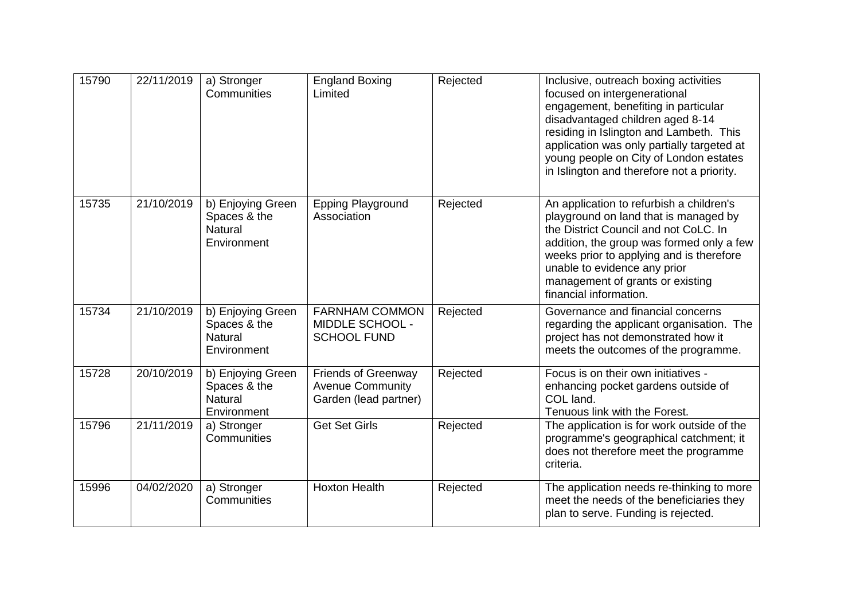| 15790 | 22/11/2019 | a) Stronger<br>Communities                                         | <b>England Boxing</b><br>Limited                                               | Rejected | Inclusive, outreach boxing activities<br>focused on intergenerational<br>engagement, benefiting in particular<br>disadvantaged children aged 8-14<br>residing in Islington and Lambeth. This<br>application was only partially targeted at<br>young people on City of London estates<br>in Islington and therefore not a priority. |
|-------|------------|--------------------------------------------------------------------|--------------------------------------------------------------------------------|----------|------------------------------------------------------------------------------------------------------------------------------------------------------------------------------------------------------------------------------------------------------------------------------------------------------------------------------------|
| 15735 | 21/10/2019 | b) Enjoying Green<br>Spaces & the<br><b>Natural</b><br>Environment | <b>Epping Playground</b><br>Association                                        | Rejected | An application to refurbish a children's<br>playground on land that is managed by<br>the District Council and not CoLC. In<br>addition, the group was formed only a few<br>weeks prior to applying and is therefore<br>unable to evidence any prior<br>management of grants or existing<br>financial information.                  |
| 15734 | 21/10/2019 | b) Enjoying Green<br>Spaces & the<br><b>Natural</b><br>Environment | <b>FARNHAM COMMON</b><br>MIDDLE SCHOOL -<br><b>SCHOOL FUND</b>                 | Rejected | Governance and financial concerns<br>regarding the applicant organisation. The<br>project has not demonstrated how it<br>meets the outcomes of the programme.                                                                                                                                                                      |
| 15728 | 20/10/2019 | b) Enjoying Green<br>Spaces & the<br><b>Natural</b><br>Environment | <b>Friends of Greenway</b><br><b>Avenue Community</b><br>Garden (lead partner) | Rejected | Focus is on their own initiatives -<br>enhancing pocket gardens outside of<br>COL land.<br>Tenuous link with the Forest.                                                                                                                                                                                                           |
| 15796 | 21/11/2019 | a) Stronger<br>Communities                                         | <b>Get Set Girls</b>                                                           | Rejected | The application is for work outside of the<br>programme's geographical catchment; it<br>does not therefore meet the programme<br>criteria.                                                                                                                                                                                         |
| 15996 | 04/02/2020 | a) Stronger<br>Communities                                         | <b>Hoxton Health</b>                                                           | Rejected | The application needs re-thinking to more<br>meet the needs of the beneficiaries they<br>plan to serve. Funding is rejected.                                                                                                                                                                                                       |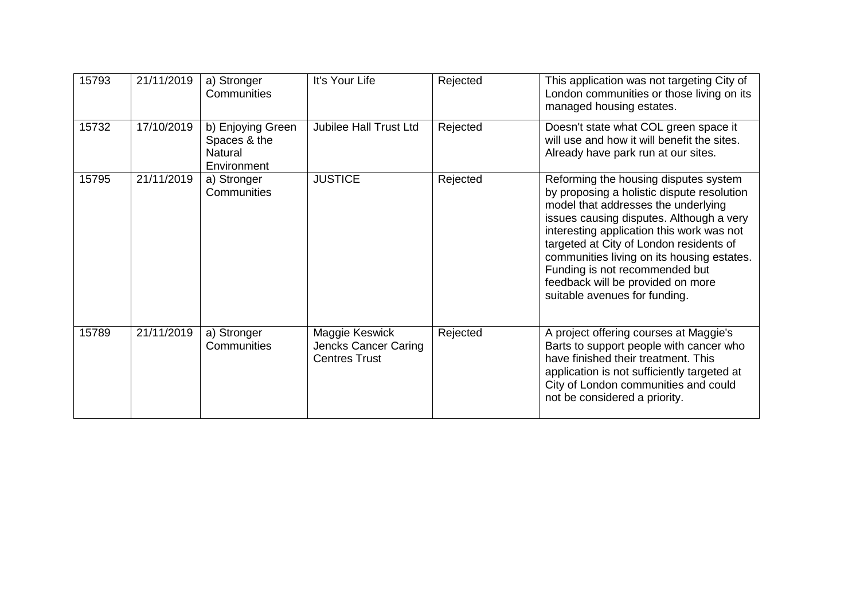| 15793 | 21/11/2019 | a) Stronger<br><b>Communities</b>                           | It's Your Life                                                 | Rejected | This application was not targeting City of<br>London communities or those living on its<br>managed housing estates.                                                                                                                                                                                                                                                                                                  |
|-------|------------|-------------------------------------------------------------|----------------------------------------------------------------|----------|----------------------------------------------------------------------------------------------------------------------------------------------------------------------------------------------------------------------------------------------------------------------------------------------------------------------------------------------------------------------------------------------------------------------|
| 15732 | 17/10/2019 | b) Enjoying Green<br>Spaces & the<br>Natural<br>Environment | <b>Jubilee Hall Trust Ltd</b>                                  | Rejected | Doesn't state what COL green space it<br>will use and how it will benefit the sites.<br>Already have park run at our sites.                                                                                                                                                                                                                                                                                          |
| 15795 | 21/11/2019 | a) Stronger<br><b>Communities</b>                           | <b>JUSTICE</b>                                                 | Rejected | Reforming the housing disputes system<br>by proposing a holistic dispute resolution<br>model that addresses the underlying<br>issues causing disputes. Although a very<br>interesting application this work was not<br>targeted at City of London residents of<br>communities living on its housing estates.<br>Funding is not recommended but<br>feedback will be provided on more<br>suitable avenues for funding. |
| 15789 | 21/11/2019 | a) Stronger<br><b>Communities</b>                           | Maggie Keswick<br>Jencks Cancer Caring<br><b>Centres Trust</b> | Rejected | A project offering courses at Maggie's<br>Barts to support people with cancer who<br>have finished their treatment. This<br>application is not sufficiently targeted at<br>City of London communities and could<br>not be considered a priority.                                                                                                                                                                     |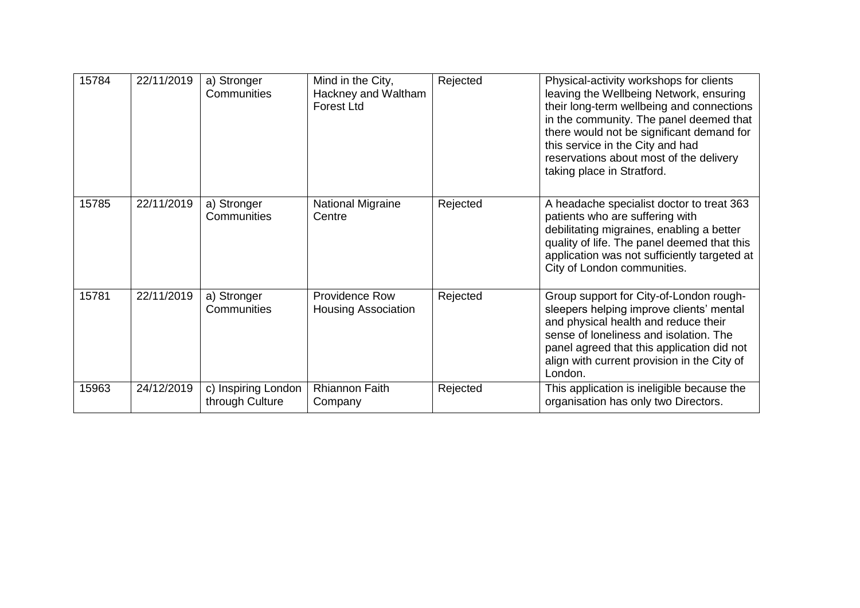| 15784 | 22/11/2019 | a) Stronger<br>Communities             | Mind in the City,<br>Hackney and Waltham<br><b>Forest Ltd</b> | Rejected | Physical-activity workshops for clients<br>leaving the Wellbeing Network, ensuring<br>their long-term wellbeing and connections<br>in the community. The panel deemed that<br>there would not be significant demand for<br>this service in the City and had<br>reservations about most of the delivery<br>taking place in Stratford. |
|-------|------------|----------------------------------------|---------------------------------------------------------------|----------|--------------------------------------------------------------------------------------------------------------------------------------------------------------------------------------------------------------------------------------------------------------------------------------------------------------------------------------|
| 15785 | 22/11/2019 | a) Stronger<br>Communities             | <b>National Migraine</b><br>Centre                            | Rejected | A headache specialist doctor to treat 363<br>patients who are suffering with<br>debilitating migraines, enabling a better<br>quality of life. The panel deemed that this<br>application was not sufficiently targeted at<br>City of London communities.                                                                              |
| 15781 | 22/11/2019 | a) Stronger<br>Communities             | Providence Row<br><b>Housing Association</b>                  | Rejected | Group support for City-of-London rough-<br>sleepers helping improve clients' mental<br>and physical health and reduce their<br>sense of loneliness and isolation. The<br>panel agreed that this application did not<br>align with current provision in the City of<br>London.                                                        |
| 15963 | 24/12/2019 | c) Inspiring London<br>through Culture | <b>Rhiannon Faith</b><br>Company                              | Rejected | This application is ineligible because the<br>organisation has only two Directors.                                                                                                                                                                                                                                                   |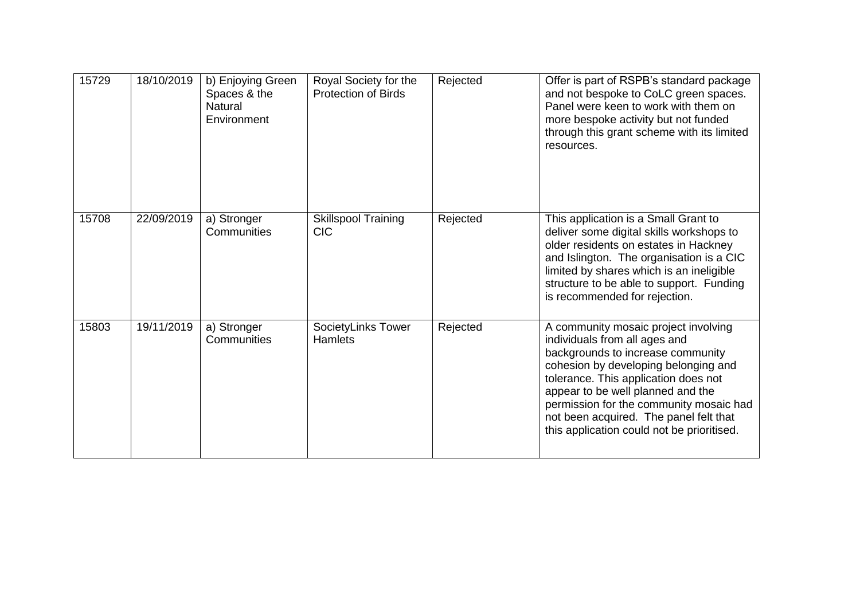| 15729 | 18/10/2019 | b) Enjoying Green<br>Spaces & the<br><b>Natural</b><br>Environment | Royal Society for the<br><b>Protection of Birds</b> | Rejected | Offer is part of RSPB's standard package<br>and not bespoke to CoLC green spaces.<br>Panel were keen to work with them on<br>more bespoke activity but not funded<br>through this grant scheme with its limited<br>resources.                                                                                                                                      |
|-------|------------|--------------------------------------------------------------------|-----------------------------------------------------|----------|--------------------------------------------------------------------------------------------------------------------------------------------------------------------------------------------------------------------------------------------------------------------------------------------------------------------------------------------------------------------|
| 15708 | 22/09/2019 | a) Stronger<br>Communities                                         | <b>Skillspool Training</b><br><b>CIC</b>            | Rejected | This application is a Small Grant to<br>deliver some digital skills workshops to<br>older residents on estates in Hackney<br>and Islington. The organisation is a CIC<br>limited by shares which is an ineligible<br>structure to be able to support. Funding<br>is recommended for rejection.                                                                     |
| 15803 | 19/11/2019 | a) Stronger<br>Communities                                         | SocietyLinks Tower<br><b>Hamlets</b>                | Rejected | A community mosaic project involving<br>individuals from all ages and<br>backgrounds to increase community<br>cohesion by developing belonging and<br>tolerance. This application does not<br>appear to be well planned and the<br>permission for the community mosaic had<br>not been acquired. The panel felt that<br>this application could not be prioritised. |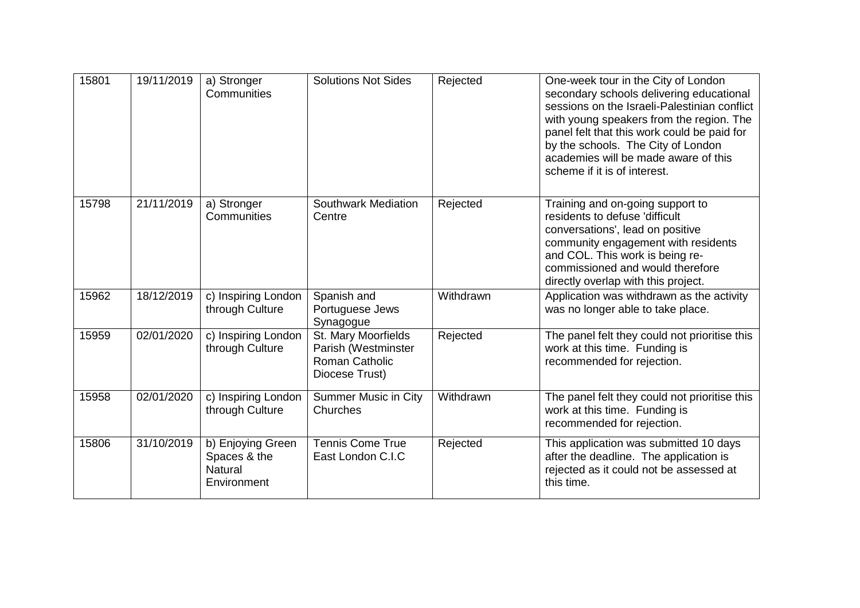| 15801 | 19/11/2019 | a) Stronger<br>Communities                                  | <b>Solutions Not Sides</b>                                                            | Rejected  | One-week tour in the City of London<br>secondary schools delivering educational<br>sessions on the Israeli-Palestinian conflict<br>with young speakers from the region. The<br>panel felt that this work could be paid for<br>by the schools. The City of London<br>academies will be made aware of this<br>scheme if it is of interest. |
|-------|------------|-------------------------------------------------------------|---------------------------------------------------------------------------------------|-----------|------------------------------------------------------------------------------------------------------------------------------------------------------------------------------------------------------------------------------------------------------------------------------------------------------------------------------------------|
| 15798 | 21/11/2019 | a) Stronger<br>Communities                                  | <b>Southwark Mediation</b><br>Centre                                                  | Rejected  | Training and on-going support to<br>residents to defuse 'difficult<br>conversations', lead on positive<br>community engagement with residents<br>and COL. This work is being re-<br>commissioned and would therefore<br>directly overlap with this project.                                                                              |
| 15962 | 18/12/2019 | $\overline{c}$ ) Inspiring London<br>through Culture        | Spanish and<br>Portuguese Jews<br>Synagogue                                           | Withdrawn | Application was withdrawn as the activity<br>was no longer able to take place.                                                                                                                                                                                                                                                           |
| 15959 | 02/01/2020 | c) Inspiring London<br>through Culture                      | St. Mary Moorfields<br>Parish (Westminster<br><b>Roman Catholic</b><br>Diocese Trust) | Rejected  | The panel felt they could not prioritise this<br>work at this time. Funding is<br>recommended for rejection.                                                                                                                                                                                                                             |
| 15958 | 02/01/2020 | c) Inspiring London<br>through Culture                      | <b>Summer Music in City</b><br>Churches                                               | Withdrawn | The panel felt they could not prioritise this<br>work at this time. Funding is<br>recommended for rejection.                                                                                                                                                                                                                             |
| 15806 | 31/10/2019 | b) Enjoying Green<br>Spaces & the<br>Natural<br>Environment | <b>Tennis Come True</b><br>East London C.I.C                                          | Rejected  | This application was submitted 10 days<br>after the deadline. The application is<br>rejected as it could not be assessed at<br>this time.                                                                                                                                                                                                |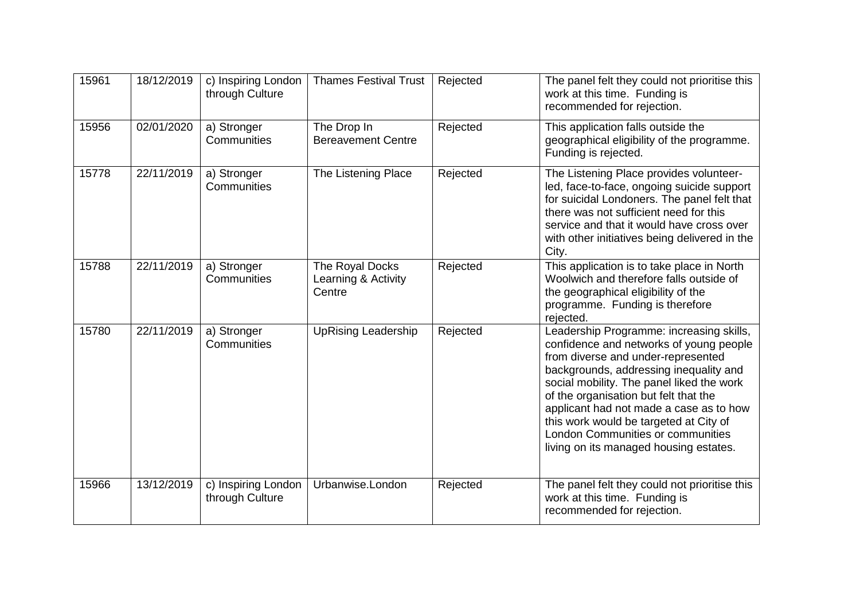| 15961 | 18/12/2019 | c) Inspiring London<br>through Culture | <b>Thames Festival Trust</b>                     | Rejected | The panel felt they could not prioritise this<br>work at this time. Funding is<br>recommended for rejection.                                                                                                                                                                                                                                                                                                                  |
|-------|------------|----------------------------------------|--------------------------------------------------|----------|-------------------------------------------------------------------------------------------------------------------------------------------------------------------------------------------------------------------------------------------------------------------------------------------------------------------------------------------------------------------------------------------------------------------------------|
| 15956 | 02/01/2020 | a) Stronger<br>Communities             | The Drop In<br><b>Bereavement Centre</b>         | Rejected | This application falls outside the<br>geographical eligibility of the programme.<br>Funding is rejected.                                                                                                                                                                                                                                                                                                                      |
| 15778 | 22/11/2019 | a) Stronger<br>Communities             | The Listening Place                              | Rejected | The Listening Place provides volunteer-<br>led, face-to-face, ongoing suicide support<br>for suicidal Londoners. The panel felt that<br>there was not sufficient need for this<br>service and that it would have cross over<br>with other initiatives being delivered in the<br>City.                                                                                                                                         |
| 15788 | 22/11/2019 | a) Stronger<br>Communities             | The Royal Docks<br>Learning & Activity<br>Centre | Rejected | This application is to take place in North<br>Woolwich and therefore falls outside of<br>the geographical eligibility of the<br>programme. Funding is therefore<br>rejected.                                                                                                                                                                                                                                                  |
| 15780 | 22/11/2019 | a) Stronger<br>Communities             | <b>UpRising Leadership</b>                       | Rejected | Leadership Programme: increasing skills,<br>confidence and networks of young people<br>from diverse and under-represented<br>backgrounds, addressing inequality and<br>social mobility. The panel liked the work<br>of the organisation but felt that the<br>applicant had not made a case as to how<br>this work would be targeted at City of<br>London Communities or communities<br>living on its managed housing estates. |
| 15966 | 13/12/2019 | c) Inspiring London<br>through Culture | Urbanwise.London                                 | Rejected | The panel felt they could not prioritise this<br>work at this time. Funding is<br>recommended for rejection.                                                                                                                                                                                                                                                                                                                  |